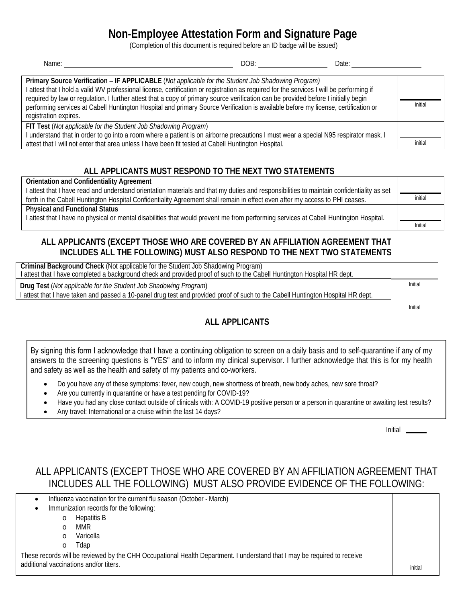# **Non-Employee Attestation Form and Signature Page**

(Completion of this document is required before an ID badge will be issued)

| DOB:<br>Name:<br>Date:                                                                                                                                                                                                                                                                                                                                                                                                                                                                                                                               |         |
|------------------------------------------------------------------------------------------------------------------------------------------------------------------------------------------------------------------------------------------------------------------------------------------------------------------------------------------------------------------------------------------------------------------------------------------------------------------------------------------------------------------------------------------------------|---------|
| Primary Source Verification - IF APPLICABLE (Not applicable for the Student Job Shadowing Program)<br>I attest that I hold a valid WV professional license, certification or registration as required for the services I will be performing if<br>required by law or regulation. I further attest that a copy of primary source verification can be provided before I initially begin<br>performing services at Cabell Huntington Hospital and primary Source Verification is available before my license, certification or<br>registration expires. | initial |
| FIT Test (Not applicable for the Student Job Shadowing Program)<br>I understand that in order to go into a room where a patient is on airborne precautions I must wear a special N95 respirator mask. I<br>attest that I will not enter that area unless I have been fit tested at Cabell Huntington Hospital.                                                                                                                                                                                                                                       | initial |

#### **ALL APPLICANTS MUST RESPOND TO THE NEXT TWO STATEMENTS**

**Orientation and Confidentiality Agreement**

I attest that I have read and understand orientation materials and that my duties and responsibilities to maintain confidentiality as set forth in the Cabell Huntington Hospital Confidentiality Agreement shall remain in effect even after my access to PHI ceases. **Physical and Functional Status**

I attest that I have no physical or mental disabilities that would prevent me from performing services at Cabell Huntington Hospital.

### **ALL APPLICANTS (EXCEPT THOSE WHO ARE COVERED BY AN AFFILIATION AGREEMENT THAT INCLUDES ALL THE FOLLOWING) MUST ALSO RESPOND TO THE NEXT TWO STATEMENTS**

| I attest that I have completed a background check and provided proof of such to the Cabell Huntington Hospital HR dept.<br>Initial<br>Drug Test (Not applicable for the Student Job Shadowing Program) | Criminal Background Check (Not applicable for the Student Job Shadowing Program)                                                 |  |
|--------------------------------------------------------------------------------------------------------------------------------------------------------------------------------------------------------|----------------------------------------------------------------------------------------------------------------------------------|--|
|                                                                                                                                                                                                        |                                                                                                                                  |  |
|                                                                                                                                                                                                        |                                                                                                                                  |  |
|                                                                                                                                                                                                        | I attest that I have taken and passed a 10-panel drug test and provided proof of such to the Cabell Huntington Hospital HR dept. |  |

Initial

Initial

### **ALL APPLICANTS**

By signing this form I acknowledge that I have a continuing obligation to screen on a daily basis and to self-quarantine if any of my answers to the screening questions is "YES" and to inform my clinical supervisor. I further acknowledge that this is for my health and safety as well as the health and safety of my patients and co-workers.

- Do you have any of these symptoms: fever, new cough, new shortness of breath, new body aches, new sore throat?
- Are you currently in quarantine or have a test pending for COVID-19?
- Have you had any close contact outside of clinicals with: A COVID-19 positive person or a person in quarantine or awaiting test results?
- Any travel: International or a cruise within the last 14 days?

Initial

## ALL APPLICANTS (EXCEPT THOSE WHO ARE COVERED BY AN AFFILIATION AGREEMENT THAT INCLUDES ALL THE FOLLOWING) MUST ALSO PROVIDE EVIDENCE OF THE FOLLOWING:

| Influenza vaccination for the current flu season (October - March)<br>٠                                                  |        |
|--------------------------------------------------------------------------------------------------------------------------|--------|
|                                                                                                                          |        |
| Immunization records for the following:                                                                                  |        |
| Hepatitis B<br>O                                                                                                         |        |
| <b>MMR</b>                                                                                                               |        |
| Varicella                                                                                                                |        |
| Tdap<br>O                                                                                                                |        |
| These records will be reviewed by the CHH Occupational Health Department. I understand that I may be required to receive |        |
| additional vaccinations and/or titers.                                                                                   | initia |